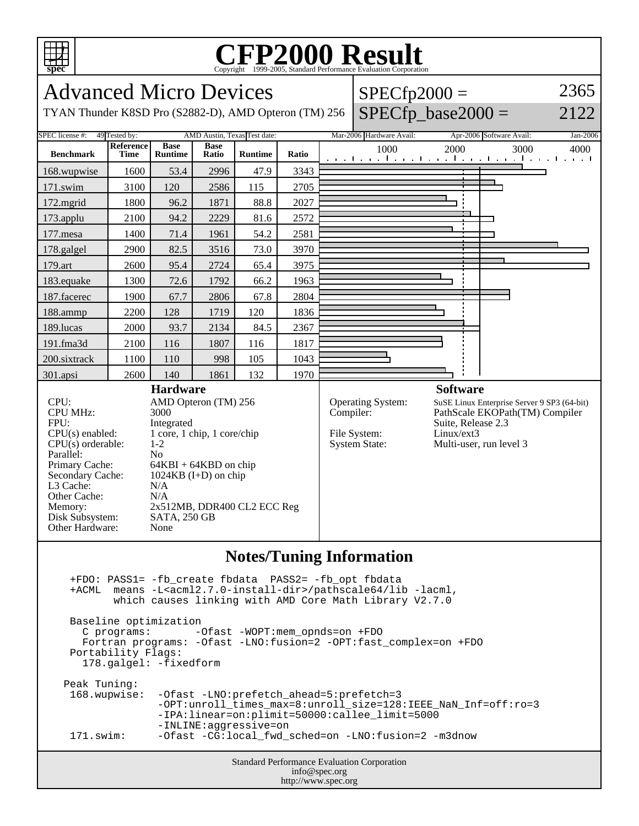

## C<sub>opyright</sub> ©1999-2005, Standard Performance Evaluation Corporation

| <b>Advanced Micro Devices</b>                                                                                                                                                                                                                                                            |                                                                                                                                                                                                                                         |                               |                      |                |           |                                                           | 2365<br>$SPECfp2000 =$           |                                                                                                          |                                                                          |      |
|------------------------------------------------------------------------------------------------------------------------------------------------------------------------------------------------------------------------------------------------------------------------------------------|-----------------------------------------------------------------------------------------------------------------------------------------------------------------------------------------------------------------------------------------|-------------------------------|----------------------|----------------|-----------|-----------------------------------------------------------|----------------------------------|----------------------------------------------------------------------------------------------------------|--------------------------------------------------------------------------|------|
| $SPECfp\_base2000 =$<br>TYAN Thunder K8SD Pro (S2882-D), AMD Opteron (TM) 256                                                                                                                                                                                                            |                                                                                                                                                                                                                                         |                               |                      |                |           |                                                           |                                  |                                                                                                          |                                                                          | 2122 |
| 49 Tested by:<br>AMD Austin, Texas Test date:<br>Mar-2006 Hardware Avail:<br>SPEC license #:<br>Apr-2006 Software Avail:<br>Jan-2006                                                                                                                                                     |                                                                                                                                                                                                                                         |                               |                      |                |           |                                                           |                                  |                                                                                                          |                                                                          |      |
| <b>Benchmark</b>                                                                                                                                                                                                                                                                         | Reference<br><b>Time</b>                                                                                                                                                                                                                | <b>Base</b><br><b>Runtime</b> | <b>Base</b><br>Ratio | <b>Runtime</b> | Ratio     |                                                           | 1000                             | 2000                                                                                                     | 3000<br>المتعملة والمتعمل والمتعملة والمتعملة والمتعمل والمتعملة والمناق | 4000 |
| 168.wupwise                                                                                                                                                                                                                                                                              | 1600                                                                                                                                                                                                                                    | 53.4                          | 2996                 | 47.9           | 3343      |                                                           |                                  |                                                                                                          |                                                                          |      |
| 171.swim                                                                                                                                                                                                                                                                                 | 3100                                                                                                                                                                                                                                    | 120                           | 2586                 | 115            | 2705      |                                                           |                                  |                                                                                                          |                                                                          |      |
| 172.mgrid                                                                                                                                                                                                                                                                                | 1800                                                                                                                                                                                                                                    | 96.2                          | 1871                 | 88.8           | 2027      |                                                           |                                  |                                                                                                          |                                                                          |      |
| 173.applu                                                                                                                                                                                                                                                                                | 2100                                                                                                                                                                                                                                    | 94.2                          | 2229                 | 81.6           | 2572      |                                                           |                                  |                                                                                                          |                                                                          |      |
| 177.mesa                                                                                                                                                                                                                                                                                 | 1400                                                                                                                                                                                                                                    | 71.4                          | 1961                 | 54.2           | 2581      |                                                           |                                  |                                                                                                          |                                                                          |      |
| 178.galgel                                                                                                                                                                                                                                                                               | 2900                                                                                                                                                                                                                                    | 82.5                          | 3516                 | 73.0           | 3970      |                                                           |                                  |                                                                                                          |                                                                          |      |
| 179.art                                                                                                                                                                                                                                                                                  | 2600                                                                                                                                                                                                                                    | 95.4                          | 2724                 | 65.4           | 3975      |                                                           |                                  |                                                                                                          |                                                                          |      |
| 183.equake                                                                                                                                                                                                                                                                               | 1300                                                                                                                                                                                                                                    | 72.6                          | 1792                 | 66.2           | 1963      |                                                           |                                  |                                                                                                          |                                                                          |      |
| 187.facerec                                                                                                                                                                                                                                                                              | 1900                                                                                                                                                                                                                                    | 67.7                          | 2806                 | 67.8           | 2804      |                                                           |                                  |                                                                                                          |                                                                          |      |
| 188.ammp                                                                                                                                                                                                                                                                                 | 2200                                                                                                                                                                                                                                    | 128                           | 1719                 | 120            | 1836      |                                                           |                                  |                                                                                                          |                                                                          |      |
| 189.lucas                                                                                                                                                                                                                                                                                | 2000                                                                                                                                                                                                                                    | 93.7                          | 2134                 | 84.5           | 2367      |                                                           |                                  |                                                                                                          |                                                                          |      |
| 191.fma3d                                                                                                                                                                                                                                                                                | 2100                                                                                                                                                                                                                                    | 116                           | 1807                 | 116            | 1817      |                                                           |                                  |                                                                                                          |                                                                          |      |
| 200.sixtrack                                                                                                                                                                                                                                                                             | 1100                                                                                                                                                                                                                                    | 110                           | 998                  | 105            | 1043      |                                                           |                                  |                                                                                                          |                                                                          |      |
| 301.apsi                                                                                                                                                                                                                                                                                 | 2600                                                                                                                                                                                                                                    | 140                           | 1861                 | 132            | 1970      |                                                           |                                  |                                                                                                          |                                                                          |      |
| CPU:<br><b>CPU MHz:</b><br>FPU:<br>$CPU(s)$ enabled:<br>$CPU(s)$ orderable:<br>Parallel:<br>Primary Cache:<br>Secondary Cache:<br>L3 Cache:<br>Other Cache:<br>Memory:<br>Disk Subsystem:<br>Other Hardware:                                                                             | AMD Opteron (TM) 256<br>3000<br>Integrated<br>1 core, 1 chip, 1 core/chip<br>$1 - 2$<br>N <sub>o</sub><br>$64KBI + 64KBD$ on chip<br>$1024KB$ (I+D) on chip<br>N/A<br>N/A<br>2x512MB, DDR400 CL2 ECC Reg<br><b>SATA, 250 GB</b><br>None |                               |                      |                | Compiler: | Operating System:<br>File System:<br><b>System State:</b> | Suite, Release 2.3<br>Linux/ext3 | SuSE Linux Enterprise Server 9 SP3 (64-bit)<br>PathScale EKOPath(TM) Compiler<br>Multi-user, run level 3 |                                                                          |      |
| <b>Notes/Tuning Information</b>                                                                                                                                                                                                                                                          |                                                                                                                                                                                                                                         |                               |                      |                |           |                                                           |                                  |                                                                                                          |                                                                          |      |
| +FDO: PASS1= -fb create fbdata PASS2= -fb opt fbdata<br>+ACML means -L <acml2.7.0-install-dir>/pathscale64/lib -lacml,<br/>which causes linking with AMD Core Math Library V2.7.0<br/>Baseline optimization</acml2.7.0-install-dir>                                                      |                                                                                                                                                                                                                                         |                               |                      |                |           |                                                           |                                  |                                                                                                          |                                                                          |      |
| C programs:<br>$-Ofast$ -WOPT:mem opnds=on +FDO<br>Fortran programs: - Ofast - LNO: fusion=2 - OPT: fast_complex=on +FDO<br>Portability Flags:<br>178.galgel: -fixedform                                                                                                                 |                                                                                                                                                                                                                                         |                               |                      |                |           |                                                           |                                  |                                                                                                          |                                                                          |      |
| Peak Tuning:<br>168.wupwise:<br>-Ofast -LNO: prefetch ahead=5: prefetch=3<br>-OPT:unroll_times_max=8:unroll_size=128:IEEE_NaN_Inf=off:ro=3<br>-IPA:linear=on:plimit=50000:callee_limit=5000<br>-INLINE:aggressive=on<br>-Ofast -CG:local_fwd_sched=on -LNO:fusion=2 -m3dnow<br>171.swim: |                                                                                                                                                                                                                                         |                               |                      |                |           |                                                           |                                  |                                                                                                          |                                                                          |      |
| Standard Performance Evaluation Corporation<br>info@spec.org<br>http://www.spec.org                                                                                                                                                                                                      |                                                                                                                                                                                                                                         |                               |                      |                |           |                                                           |                                  |                                                                                                          |                                                                          |      |